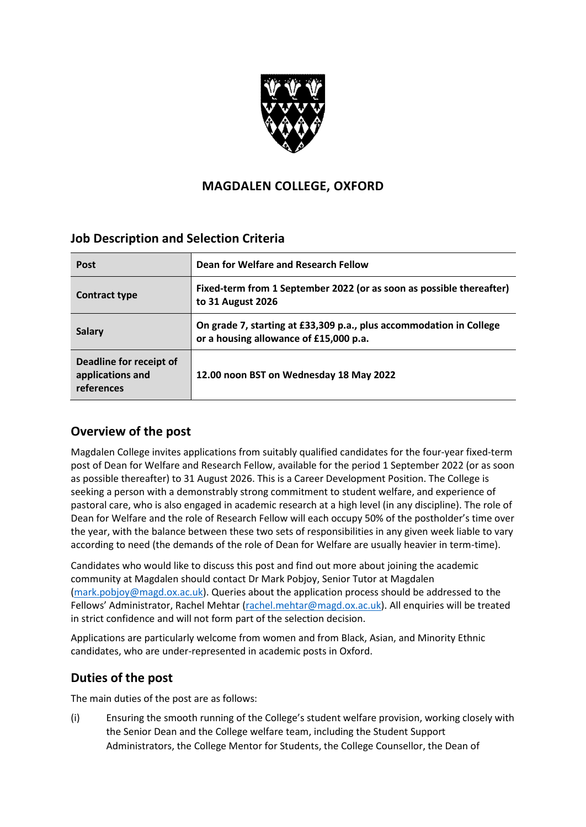

# **MAGDALEN COLLEGE, OXFORD**

# **Job Description and Selection Criteria**

| <b>Post</b>                                               | Dean for Welfare and Research Fellow                                                                          |
|-----------------------------------------------------------|---------------------------------------------------------------------------------------------------------------|
| Contract type                                             | Fixed-term from 1 September 2022 (or as soon as possible thereafter)<br>to 31 August 2026                     |
| <b>Salary</b>                                             | On grade 7, starting at £33,309 p.a., plus accommodation in College<br>or a housing allowance of £15,000 p.a. |
| Deadline for receipt of<br>applications and<br>references | 12.00 noon BST on Wednesday 18 May 2022                                                                       |

### **Overview of the post**

Magdalen College invites applications from suitably qualified candidates for the four-year fixed-term post of Dean for Welfare and Research Fellow, available for the period 1 September 2022 (or as soon as possible thereafter) to 31 August 2026. This is a Career Development Position. The College is seeking a person with a demonstrably strong commitment to student welfare, and experience of pastoral care, who is also engaged in academic research at a high level (in any discipline). The role of Dean for Welfare and the role of Research Fellow will each occupy 50% of the postholder's time over the year, with the balance between these two sets of responsibilities in any given week liable to vary according to need (the demands of the role of Dean for Welfare are usually heavier in term-time).

Candidates who would like to discuss this post and find out more about joining the academic community at Magdalen should contact Dr Mark Pobjoy, Senior Tutor at Magdalen [\(mark.pobjoy@magd.ox.ac.uk\)](mailto:mark.pobjoy@magd.ox.ac.uk). Queries about the application process should be addressed to the Fellows' Administrator, Rachel Mehtar [\(rachel.mehtar@magd.ox.ac.uk\)](mailto:rachel.mehtar@magd.ox.ac.uk). All enquiries will be treated in strict confidence and will not form part of the selection decision.

Applications are particularly welcome from women and from Black, Asian, and Minority Ethnic candidates, who are under-represented in academic posts in Oxford.

# **Duties of the post**

The main duties of the post are as follows:

(i) Ensuring the smooth running of the College's student welfare provision, working closely with the Senior Dean and the College welfare team, including the Student Support Administrators, the College Mentor for Students, the College Counsellor, the Dean of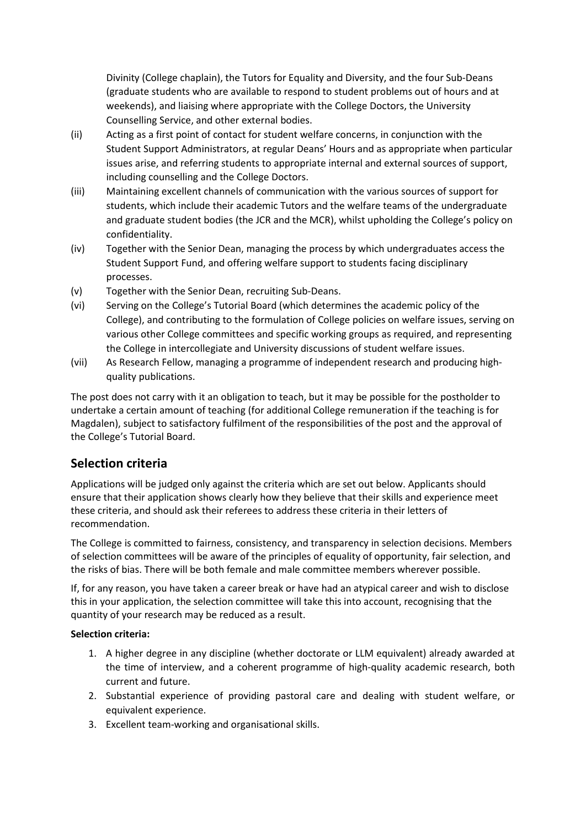Divinity (College chaplain), the Tutors for Equality and Diversity, and the four Sub-Deans (graduate students who are available to respond to student problems out of hours and at weekends), and liaising where appropriate with the College Doctors, the University Counselling Service, and other external bodies.

- (ii) Acting as a first point of contact for student welfare concerns, in conjunction with the Student Support Administrators, at regular Deans' Hours and as appropriate when particular issues arise, and referring students to appropriate internal and external sources of support, including counselling and the College Doctors.
- (iii) Maintaining excellent channels of communication with the various sources of support for students, which include their academic Tutors and the welfare teams of the undergraduate and graduate student bodies (the JCR and the MCR), whilst upholding the College's policy on confidentiality.
- (iv) Together with the Senior Dean, managing the process by which undergraduates access the Student Support Fund, and offering welfare support to students facing disciplinary processes.
- (v) Together with the Senior Dean, recruiting Sub-Deans.
- (vi) Serving on the College's Tutorial Board (which determines the academic policy of the College), and contributing to the formulation of College policies on welfare issues, serving on various other College committees and specific working groups as required, and representing the College in intercollegiate and University discussions of student welfare issues.
- (vii) As Research Fellow, managing a programme of independent research and producing highquality publications.

The post does not carry with it an obligation to teach, but it may be possible for the postholder to undertake a certain amount of teaching (for additional College remuneration if the teaching is for Magdalen), subject to satisfactory fulfilment of the responsibilities of the post and the approval of the College's Tutorial Board.

# **Selection criteria**

Applications will be judged only against the criteria which are set out below. Applicants should ensure that their application shows clearly how they believe that their skills and experience meet these criteria, and should ask their referees to address these criteria in their letters of recommendation.

The College is committed to fairness, consistency, and transparency in selection decisions. Members of selection committees will be aware of the principles of equality of opportunity, fair selection, and the risks of bias. There will be both female and male committee members wherever possible.

If, for any reason, you have taken a career break or have had an atypical career and wish to disclose this in your application, the selection committee will take this into account, recognising that the quantity of your research may be reduced as a result.

### **Selection criteria:**

- 1. A higher degree in any discipline (whether doctorate or LLM equivalent) already awarded at the time of interview, and a coherent programme of high-quality academic research, both current and future.
- 2. Substantial experience of providing pastoral care and dealing with student welfare, or equivalent experience.
- 3. Excellent team-working and organisational skills.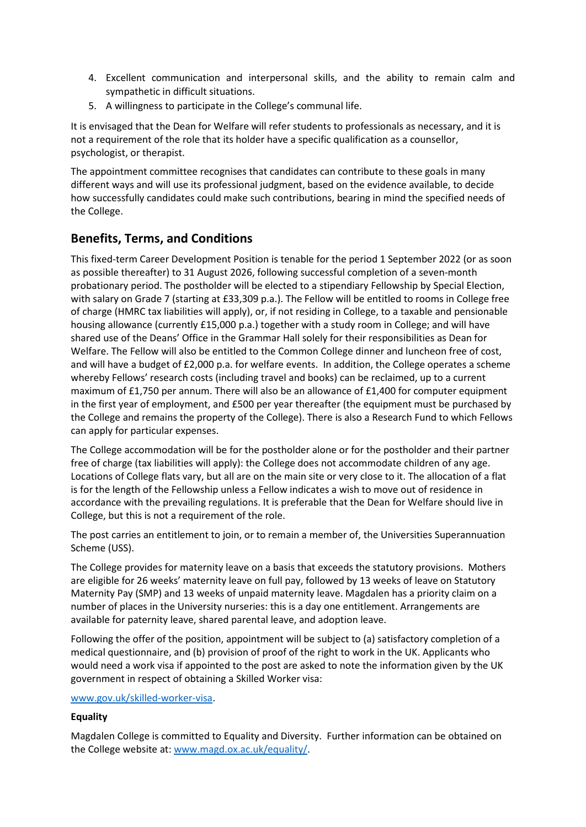- 4. Excellent communication and interpersonal skills, and the ability to remain calm and sympathetic in difficult situations.
- 5. A willingness to participate in the College's communal life.

It is envisaged that the Dean for Welfare will refer students to professionals as necessary, and it is not a requirement of the role that its holder have a specific qualification as a counsellor, psychologist, or therapist.

The appointment committee recognises that candidates can contribute to these goals in many different ways and will use its professional judgment, based on the evidence available, to decide how successfully candidates could make such contributions, bearing in mind the specified needs of the College.

## **Benefits, Terms, and Conditions**

This fixed-term Career Development Position is tenable for the period 1 September 2022 (or as soon as possible thereafter) to 31 August 2026, following successful completion of a seven-month probationary period. The postholder will be elected to a stipendiary Fellowship by Special Election, with salary on Grade 7 (starting at £33,309 p.a.). The Fellow will be entitled to rooms in College free of charge (HMRC tax liabilities will apply), or, if not residing in College, to a taxable and pensionable housing allowance (currently £15,000 p.a.) together with a study room in College; and will have shared use of the Deans' Office in the Grammar Hall solely for their responsibilities as Dean for Welfare. The Fellow will also be entitled to the Common College dinner and luncheon free of cost, and will have a budget of £2,000 p.a. for welfare events. In addition, the College operates a scheme whereby Fellows' research costs (including travel and books) can be reclaimed, up to a current maximum of £1,750 per annum. There will also be an allowance of £1,400 for computer equipment in the first year of employment, and £500 per year thereafter (the equipment must be purchased by the College and remains the property of the College). There is also a Research Fund to which Fellows can apply for particular expenses.

The College accommodation will be for the postholder alone or for the postholder and their partner free of charge (tax liabilities will apply): the College does not accommodate children of any age. Locations of College flats vary, but all are on the main site or very close to it. The allocation of a flat is for the length of the Fellowship unless a Fellow indicates a wish to move out of residence in accordance with the prevailing regulations. It is preferable that the Dean for Welfare should live in College, but this is not a requirement of the role.

The post carries an entitlement to join, or to remain a member of, the Universities Superannuation Scheme (USS).

The College provides for maternity leave on a basis that exceeds the statutory provisions. Mothers are eligible for 26 weeks' maternity leave on full pay, followed by 13 weeks of leave on Statutory Maternity Pay (SMP) and 13 weeks of unpaid maternity leave. Magdalen has a priority claim on a number of places in the University nurseries: this is a day one entitlement. Arrangements are available for paternity leave, shared parental leave, and adoption leave.

Following the offer of the position, appointment will be subject to (a) satisfactory completion of a medical questionnaire, and (b) provision of proof of the right to work in the UK. Applicants who would need a work visa if appointed to the post are asked to note the information given by the UK government in respect of obtaining a Skilled Worker visa:

#### [www.gov.uk/skilled-worker-visa.](http://www.gov.uk/skilled-worker-visa)

### **Equality**

Magdalen College is committed to Equality and Diversity. Further information can be obtained on the College website at[: www.magd.ox.ac.uk/equality/.](http://www.magd.ox.ac.uk/equality/)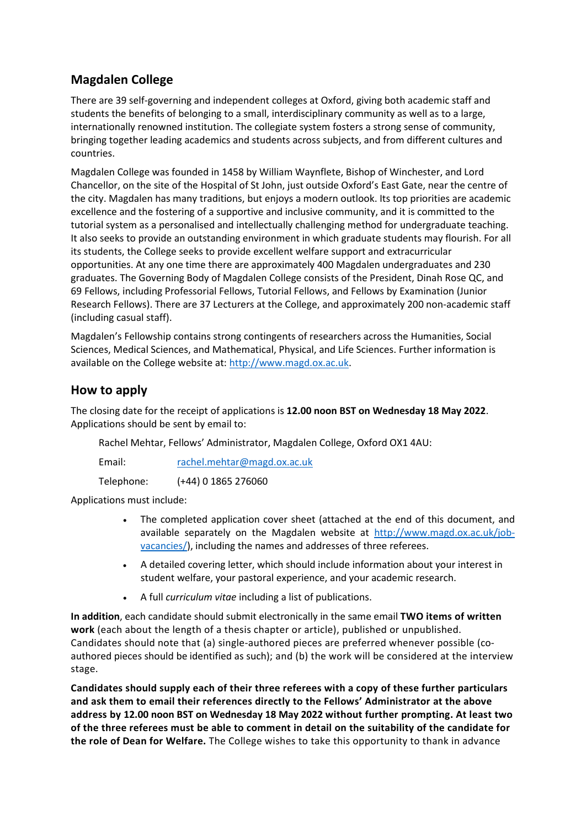## **Magdalen College**

There are 39 self-governing and independent colleges at Oxford, giving both academic staff and students the benefits of belonging to a small, interdisciplinary community as well as to a large, internationally renowned institution. The collegiate system fosters a strong sense of community, bringing together leading academics and students across subjects, and from different cultures and countries.

Magdalen College was founded in 1458 by William Waynflete, Bishop of Winchester, and Lord Chancellor, on the site of the Hospital of St John, just outside Oxford's East Gate, near the centre of the city. Magdalen has many traditions, but enjoys a modern outlook. Its top priorities are academic excellence and the fostering of a supportive and inclusive community, and it is committed to the tutorial system as a personalised and intellectually challenging method for undergraduate teaching. It also seeks to provide an outstanding environment in which graduate students may flourish. For all its students, the College seeks to provide excellent welfare support and extracurricular opportunities. At any one time there are approximately 400 Magdalen undergraduates and 230 graduates. The Governing Body of Magdalen College consists of the President, Dinah Rose QC, and 69 Fellows, including Professorial Fellows, Tutorial Fellows, and Fellows by Examination (Junior Research Fellows). There are 37 Lecturers at the College, and approximately 200 non-academic staff (including casual staff).

Magdalen's Fellowship contains strong contingents of researchers across the Humanities, Social Sciences, Medical Sciences, and Mathematical, Physical, and Life Sciences. Further information is available on the College website at: [http://www.magd.ox.ac.uk.](http://www.magd.ox.ac.uk/)

## **How to apply**

The closing date for the receipt of applications is **12.00 noon BST on Wednesday 18 May 2022**. Applications should be sent by email to:

Rachel Mehtar, Fellows' Administrator, Magdalen College, Oxford OX1 4AU:

Email: [rachel.mehtar@magd.ox.ac.uk](mailto:rachel.mehtar@magd.ox.ac.uk)

Telephone: (+44) 0 1865 276060

Applications must include:

- The completed application cover sheet (attached at the end of this document, and available separately on the Magdalen website at [http://www.magd.ox.ac.uk/job](http://www.magd.ox.ac.uk/job-vacancies/)[vacancies/\)](http://www.magd.ox.ac.uk/job-vacancies/), including the names and addresses of three referees.
- A detailed covering letter, which should include information about your interest in student welfare, your pastoral experience, and your academic research.
- A full *curriculum vitae* including a list of publications.

**In addition**, each candidate should submit electronically in the same email **TWO items of written work** (each about the length of a thesis chapter or article), published or unpublished. Candidates should note that (a) single-authored pieces are preferred whenever possible (coauthored pieces should be identified as such); and (b) the work will be considered at the interview stage.

**Candidates should supply each of their three referees with a copy of these further particulars and ask them to email their references directly to the Fellows' Administrator at the above address by 12.00 noon BST on Wednesday 18 May 2022 without further prompting. At least two of the three referees must be able to comment in detail on the suitability of the candidate for the role of Dean for Welfare.** The College wishes to take this opportunity to thank in advance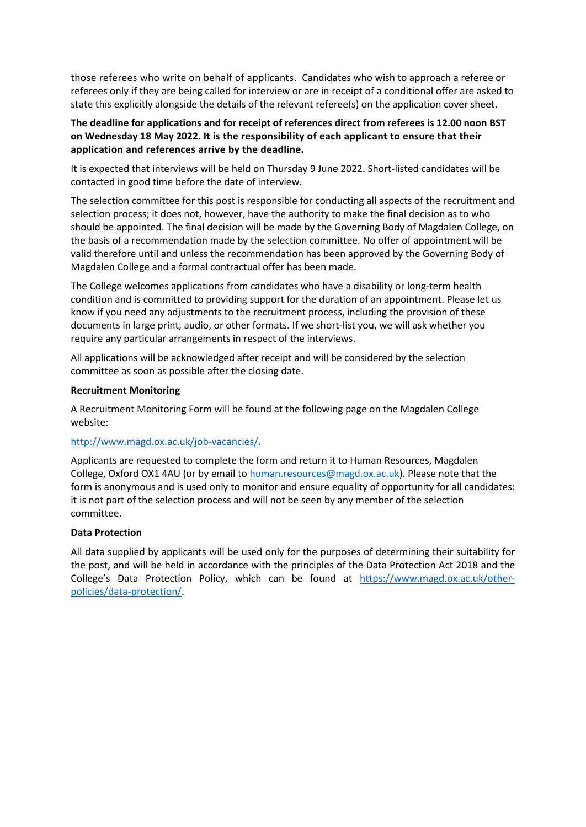those referees who write on behalf of applicants. Candidates who wish to approach a referee or referees only if they are being called for interview or are in receipt of a conditional offer are asked to state this explicitly alongside the details of the relevant referee(s) on the application cover sheet.

#### **The deadline for applications and for receipt of references direct from referees is 12.00 noon BST on Wednesday 18 May 2022. It is the responsibility of each applicant to ensure that their application and references arrive by the deadline.**

It is expected that interviews will be held on Thursday 9 June 2022. Short-listed candidates will be contacted in good time before the date of interview.

The selection committee for this post is responsible for conducting all aspects of the recruitment and selection process; it does not, however, have the authority to make the final decision as to who should be appointed. The final decision will be made by the Governing Body of Magdalen College, on the basis of a recommendation made by the selection committee. No offer of appointment will be valid therefore until and unless the recommendation has been approved by the Governing Body of Magdalen College and a formal contractual offer has been made.

The College welcomes applications from candidates who have a disability or long-term health condition and is committed to providing support for the duration of an appointment. Please let us know if you need any adjustments to the recruitment process, including the provision of these documents in large print, audio, or other formats. If we short-list you, we will ask whether you require any particular arrangements in respect of the interviews.

All applications will be acknowledged after receipt and will be considered by the selection committee as soon as possible after the closing date.

#### **Recruitment Monitoring**

A Recruitment Monitoring Form will be found at the following page on the Magdalen College website:

### [http://www.magd.ox.ac.uk/job-vacancies/.](http://www.magd.ox.ac.uk/job-vacancies/)

Applicants are requested to complete the form and return it to Human Resources, Magdalen College, Oxford OX1 4AU (or by email t[o human.resources@magd.ox.ac.uk\)](mailto:human.resources@magd.ox.ac.uk). Please note that the form is anonymous and is used only to monitor and ensure equality of opportunity for all candidates: it is not part of the selection process and will not be seen by any member of the selection committee.

#### **Data Protection**

All data supplied by applicants will be used only for the purposes of determining their suitability for the post, and will be held in accordance with the principles of the Data Protection Act 2018 and the College's Data Protection Policy, which can be found at [https://www.magd.ox.ac.uk/other](https://www.magd.ox.ac.uk/other-policies/data-protection/)[policies/data-protection/.](https://www.magd.ox.ac.uk/other-policies/data-protection/)